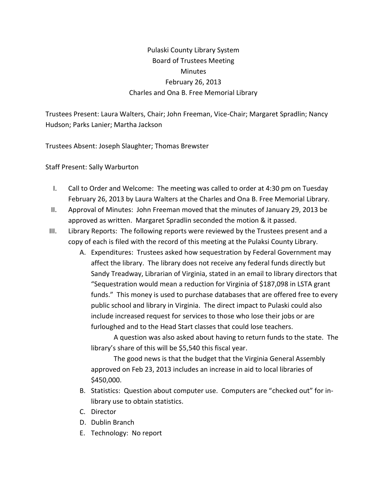## Pulaski County Library System Board of Trustees Meeting **Minutes** February 26, 2013 Charles and Ona B. Free Memorial Library

Trustees Present: Laura Walters, Chair; John Freeman, Vice-Chair; Margaret Spradlin; Nancy Hudson; Parks Lanier; Martha Jackson

Trustees Absent: Joseph Slaughter; Thomas Brewster

Staff Present: Sally Warburton

- I. Call to Order and Welcome: The meeting was called to order at 4:30 pm on Tuesday February 26, 2013 by Laura Walters at the Charles and Ona B. Free Memorial Library.
- II. Approval of Minutes: John Freeman moved that the minutes of January 29, 2013 be approved as written. Margaret Spradlin seconded the motion & it passed.
- III. Library Reports: The following reports were reviewed by the Trustees present and a copy of each is filed with the record of this meeting at the Pulaksi County Library.
	- A. Expenditures: Trustees asked how sequestration by Federal Government may affect the library. The library does not receive any federal funds directly but Sandy Treadway, Librarian of Virginia, stated in an email to library directors that "Sequestration would mean a reduction for Virginia of \$187,098 in LSTA grant funds." This money is used to purchase databases that are offered free to every public school and library in Virginia. The direct impact to Pulaski could also include increased request for services to those who lose their jobs or are furloughed and to the Head Start classes that could lose teachers.

A question was also asked about having to return funds to the state. The library's share of this will be \$5,540 this fiscal year.

The good news is that the budget that the Virginia General Assembly approved on Feb 23, 2013 includes an increase in aid to local libraries of \$450,000.

- B. Statistics: Question about computer use. Computers are "checked out" for inlibrary use to obtain statistics.
- C. Director
- D. Dublin Branch
- E. Technology: No report